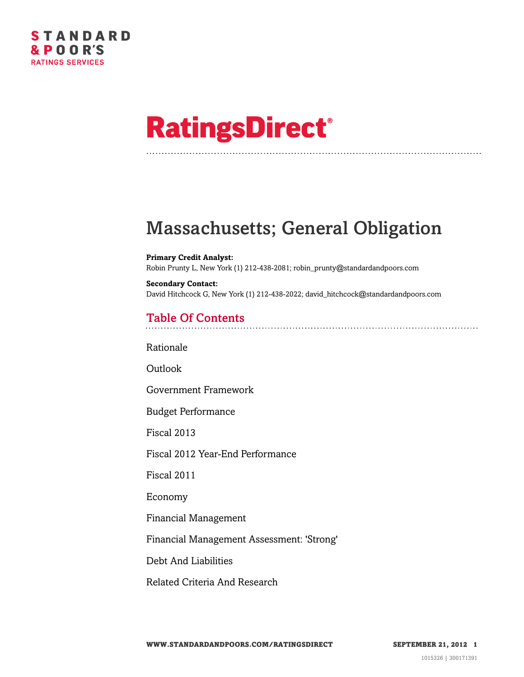# **RatingsDirect®**

### Massachusetts; General Obligation

**Primary Credit Analyst:** Robin Prunty L, New York (1) 212-438-2081; robin\_prunty@standardandpoors.com

**Secondary Contact:** David Hitchcock G, New York (1) 212-438-2022; david\_hitchcock@standardandpoors.com

### Table Of Contents

[Rationale](#page-1-0)

**[Outlook](#page-2-0)** 

[Government Framework](#page-2-1)

[Budget Performance](#page-3-0)

[Fiscal 2013](#page-3-1)

[Fiscal 2012 Year-End Performance](#page-4-0)

[Fiscal 2011](#page-4-1)

[Economy](#page-5-0)

[Financial Management](#page-5-1)

[Financial Management Assessment: 'Strong'](#page-6-0)

[Debt And Liabilities](#page-6-1)

[Related Criteria And Research](#page-8-0)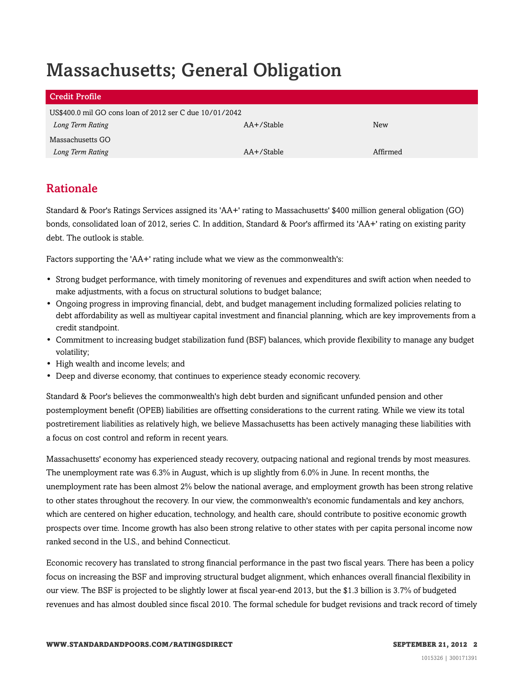## Massachusetts; General Obligation

| <b>Credit Profile</b>                                   |            |          |
|---------------------------------------------------------|------------|----------|
| US\$400.0 mil GO cons loan of 2012 ser C due 10/01/2042 |            |          |
| Long Term Rating                                        | AA+/Stable | New      |
| Massachusetts GO                                        |            |          |
| Long Term Rating                                        | AA+/Stable | Affirmed |

#### <span id="page-1-0"></span>Rationale

Standard & Poor's Ratings Services assigned its 'AA+' rating to Massachusetts' \$400 million general obligation (GO) bonds, consolidated loan of 2012, series C. In addition, Standard & Poor's affirmed its 'AA+' rating on existing parity debt. The outlook is stable.

Factors supporting the 'AA+' rating include what we view as the commonwealth's:

- Strong budget performance, with timely monitoring of revenues and expenditures and swift action when needed to make adjustments, with a focus on structural solutions to budget balance;
- Ongoing progress in improving financial, debt, and budget management including formalized policies relating to debt affordability as well as multiyear capital investment and financial planning, which are key improvements from a credit standpoint.
- Commitment to increasing budget stabilization fund (BSF) balances, which provide flexibility to manage any budget volatility;
- High wealth and income levels; and
- Deep and diverse economy, that continues to experience steady economic recovery.

Standard & Poor's believes the commonwealth's high debt burden and significant unfunded pension and other postemployment benefit (OPEB) liabilities are offsetting considerations to the current rating. While we view its total postretirement liabilities as relatively high, we believe Massachusetts has been actively managing these liabilities with a focus on cost control and reform in recent years.

Massachusetts' economy has experienced steady recovery, outpacing national and regional trends by most measures. The unemployment rate was 6.3% in August, which is up slightly from 6.0% in June. In recent months, the unemployment rate has been almost 2% below the national average, and employment growth has been strong relative to other states throughout the recovery. In our view, the commonwealth's economic fundamentals and key anchors, which are centered on higher education, technology, and health care, should contribute to positive economic growth prospects over time. Income growth has also been strong relative to other states with per capita personal income now ranked second in the U.S., and behind Connecticut.

Economic recovery has translated to strong financial performance in the past two fiscal years. There has been a policy focus on increasing the BSF and improving structural budget alignment, which enhances overall financial flexibility in our view. The BSF is projected to be slightly lower at fiscal year-end 2013, but the \$1.3 billion is 3.7% of budgeted revenues and has almost doubled since fiscal 2010. The formal schedule for budget revisions and track record of timely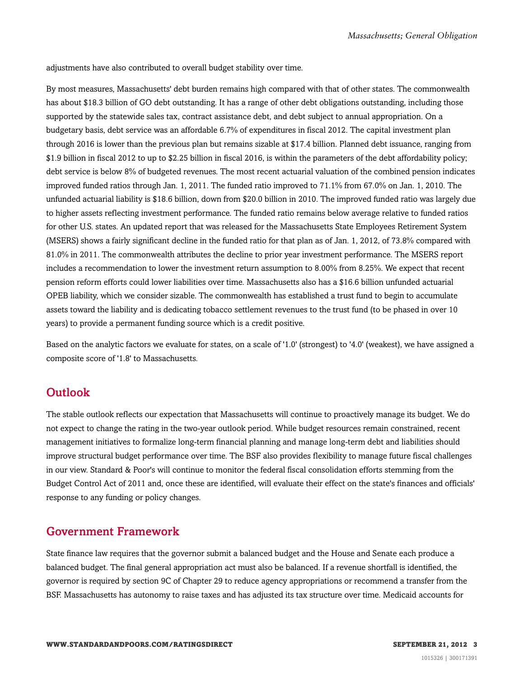adjustments have also contributed to overall budget stability over time.

By most measures, Massachusetts' debt burden remains high compared with that of other states. The commonwealth has about \$18.3 billion of GO debt outstanding. It has a range of other debt obligations outstanding, including those supported by the statewide sales tax, contract assistance debt, and debt subject to annual appropriation. On a budgetary basis, debt service was an affordable 6.7% of expenditures in fiscal 2012. The capital investment plan through 2016 is lower than the previous plan but remains sizable at \$17.4 billion. Planned debt issuance, ranging from \$1.9 billion in fiscal 2012 to up to \$2.25 billion in fiscal 2016, is within the parameters of the debt affordability policy; debt service is below 8% of budgeted revenues. The most recent actuarial valuation of the combined pension indicates improved funded ratios through Jan. 1, 2011. The funded ratio improved to 71.1% from 67.0% on Jan. 1, 2010. The unfunded actuarial liability is \$18.6 billion, down from \$20.0 billion in 2010. The improved funded ratio was largely due to higher assets reflecting investment performance. The funded ratio remains below average relative to funded ratios for other U.S. states. An updated report that was released for the Massachusetts State Employees Retirement System (MSERS) shows a fairly significant decline in the funded ratio for that plan as of Jan. 1, 2012, of 73.8% compared with 81.0% in 2011. The commonwealth attributes the decline to prior year investment performance. The MSERS report includes a recommendation to lower the investment return assumption to 8.00% from 8.25%. We expect that recent pension reform efforts could lower liabilities over time. Massachusetts also has a \$16.6 billion unfunded actuarial OPEB liability, which we consider sizable. The commonwealth has established a trust fund to begin to accumulate assets toward the liability and is dedicating tobacco settlement revenues to the trust fund (to be phased in over 10 years) to provide a permanent funding source which is a credit positive.

Based on the analytic factors we evaluate for states, on a scale of '1.0' (strongest) to '4.0' (weakest), we have assigned a composite score of '1.8' to Massachusetts.

#### <span id="page-2-0"></span>**Outlook**

The stable outlook reflects our expectation that Massachusetts will continue to proactively manage its budget. We do not expect to change the rating in the two-year outlook period. While budget resources remain constrained, recent management initiatives to formalize long-term financial planning and manage long-term debt and liabilities should improve structural budget performance over time. The BSF also provides flexibility to manage future fiscal challenges in our view. Standard & Poor's will continue to monitor the federal fiscal consolidation efforts stemming from the Budget Control Act of 2011 and, once these are identified, will evaluate their effect on the state's finances and officials' response to any funding or policy changes.

#### <span id="page-2-1"></span>Government Framework

State finance law requires that the governor submit a balanced budget and the House and Senate each produce a balanced budget. The final general appropriation act must also be balanced. If a revenue shortfall is identified, the governor is required by section 9C of Chapter 29 to reduce agency appropriations or recommend a transfer from the BSF. Massachusetts has autonomy to raise taxes and has adjusted its tax structure over time. Medicaid accounts for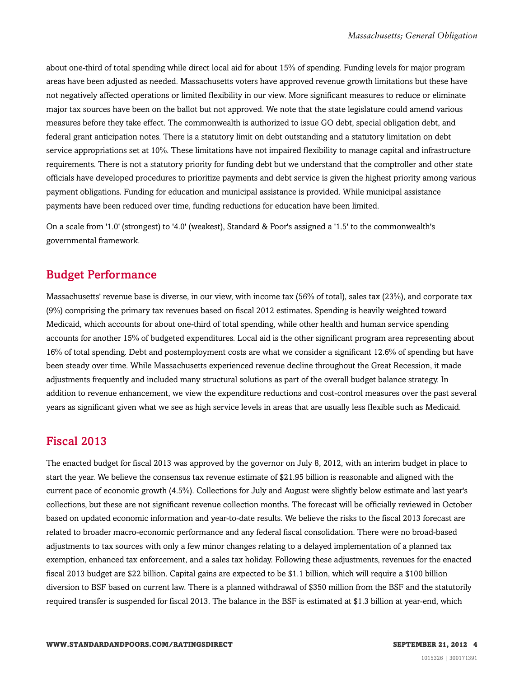about one-third of total spending while direct local aid for about 15% of spending. Funding levels for major program areas have been adjusted as needed. Massachusetts voters have approved revenue growth limitations but these have not negatively affected operations or limited flexibility in our view. More significant measures to reduce or eliminate major tax sources have been on the ballot but not approved. We note that the state legislature could amend various measures before they take effect. The commonwealth is authorized to issue GO debt, special obligation debt, and federal grant anticipation notes. There is a statutory limit on debt outstanding and a statutory limitation on debt service appropriations set at 10%. These limitations have not impaired flexibility to manage capital and infrastructure requirements. There is not a statutory priority for funding debt but we understand that the comptroller and other state officials have developed procedures to prioritize payments and debt service is given the highest priority among various payment obligations. Funding for education and municipal assistance is provided. While municipal assistance payments have been reduced over time, funding reductions for education have been limited.

On a scale from '1.0' (strongest) to '4.0' (weakest), Standard & Poor's assigned a '1.5' to the commonwealth's governmental framework.

#### <span id="page-3-0"></span>Budget Performance

Massachusetts' revenue base is diverse, in our view, with income tax (56% of total), sales tax (23%), and corporate tax (9%) comprising the primary tax revenues based on fiscal 2012 estimates. Spending is heavily weighted toward Medicaid, which accounts for about one-third of total spending, while other health and human service spending accounts for another 15% of budgeted expenditures. Local aid is the other significant program area representing about 16% of total spending. Debt and postemployment costs are what we consider a significant 12.6% of spending but have been steady over time. While Massachusetts experienced revenue decline throughout the Great Recession, it made adjustments frequently and included many structural solutions as part of the overall budget balance strategy. In addition to revenue enhancement, we view the expenditure reductions and cost-control measures over the past several years as significant given what we see as high service levels in areas that are usually less flexible such as Medicaid.

#### <span id="page-3-1"></span>Fiscal 2013

The enacted budget for fiscal 2013 was approved by the governor on July 8, 2012, with an interim budget in place to start the year. We believe the consensus tax revenue estimate of \$21.95 billion is reasonable and aligned with the current pace of economic growth (4.5%). Collections for July and August were slightly below estimate and last year's collections, but these are not significant revenue collection months. The forecast will be officially reviewed in October based on updated economic information and year-to-date results. We believe the risks to the fiscal 2013 forecast are related to broader macro-economic performance and any federal fiscal consolidation. There were no broad-based adjustments to tax sources with only a few minor changes relating to a delayed implementation of a planned tax exemption, enhanced tax enforcement, and a sales tax holiday. Following these adjustments, revenues for the enacted fiscal 2013 budget are \$22 billion. Capital gains are expected to be \$1.1 billion, which will require a \$100 billion diversion to BSF based on current law. There is a planned withdrawal of \$350 million from the BSF and the statutorily required transfer is suspended for fiscal 2013. The balance in the BSF is estimated at \$1.3 billion at year-end, which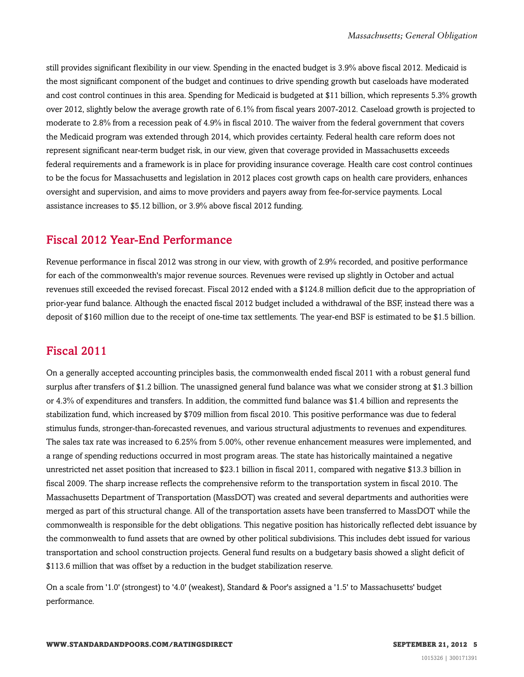still provides significant flexibility in our view. Spending in the enacted budget is 3.9% above fiscal 2012. Medicaid is the most significant component of the budget and continues to drive spending growth but caseloads have moderated and cost control continues in this area. Spending for Medicaid is budgeted at \$11 billion, which represents 5.3% growth over 2012, slightly below the average growth rate of 6.1% from fiscal years 2007-2012. Caseload growth is projected to moderate to 2.8% from a recession peak of 4.9% in fiscal 2010. The waiver from the federal government that covers the Medicaid program was extended through 2014, which provides certainty. Federal health care reform does not represent significant near-term budget risk, in our view, given that coverage provided in Massachusetts exceeds federal requirements and a framework is in place for providing insurance coverage. Health care cost control continues to be the focus for Massachusetts and legislation in 2012 places cost growth caps on health care providers, enhances oversight and supervision, and aims to move providers and payers away from fee-for-service payments. Local assistance increases to \$5.12 billion, or 3.9% above fiscal 2012 funding.

#### <span id="page-4-0"></span>Fiscal 2012 Year-End Performance

Revenue performance in fiscal 2012 was strong in our view, with growth of 2.9% recorded, and positive performance for each of the commonwealth's major revenue sources. Revenues were revised up slightly in October and actual revenues still exceeded the revised forecast. Fiscal 2012 ended with a \$124.8 million deficit due to the appropriation of prior-year fund balance. Although the enacted fiscal 2012 budget included a withdrawal of the BSF, instead there was a deposit of \$160 million due to the receipt of one-time tax settlements. The year-end BSF is estimated to be \$1.5 billion.

#### <span id="page-4-1"></span>Fiscal 2011

On a generally accepted accounting principles basis, the commonwealth ended fiscal 2011 with a robust general fund surplus after transfers of \$1.2 billion. The unassigned general fund balance was what we consider strong at \$1.3 billion or 4.3% of expenditures and transfers. In addition, the committed fund balance was \$1.4 billion and represents the stabilization fund, which increased by \$709 million from fiscal 2010. This positive performance was due to federal stimulus funds, stronger-than-forecasted revenues, and various structural adjustments to revenues and expenditures. The sales tax rate was increased to 6.25% from 5.00%, other revenue enhancement measures were implemented, and a range of spending reductions occurred in most program areas. The state has historically maintained a negative unrestricted net asset position that increased to \$23.1 billion in fiscal 2011, compared with negative \$13.3 billion in fiscal 2009. The sharp increase reflects the comprehensive reform to the transportation system in fiscal 2010. The Massachusetts Department of Transportation (MassDOT) was created and several departments and authorities were merged as part of this structural change. All of the transportation assets have been transferred to MassDOT while the commonwealth is responsible for the debt obligations. This negative position has historically reflected debt issuance by the commonwealth to fund assets that are owned by other political subdivisions. This includes debt issued for various transportation and school construction projects. General fund results on a budgetary basis showed a slight deficit of \$113.6 million that was offset by a reduction in the budget stabilization reserve.

On a scale from '1.0' (strongest) to '4.0' (weakest), Standard & Poor's assigned a '1.5' to Massachusetts' budget performance.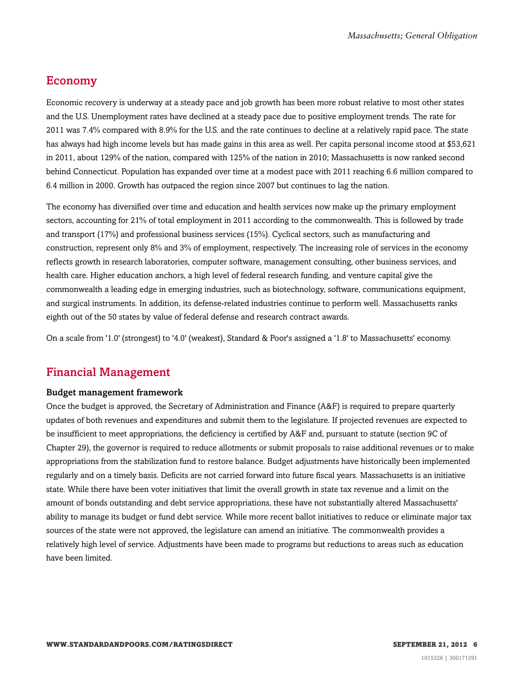#### <span id="page-5-0"></span>Economy

Economic recovery is underway at a steady pace and job growth has been more robust relative to most other states and the U.S. Unemployment rates have declined at a steady pace due to positive employment trends. The rate for 2011 was 7.4% compared with 8.9% for the U.S. and the rate continues to decline at a relatively rapid pace. The state has always had high income levels but has made gains in this area as well. Per capita personal income stood at \$53,621 in 2011, about 129% of the nation, compared with 125% of the nation in 2010; Massachusetts is now ranked second behind Connecticut. Population has expanded over time at a modest pace with 2011 reaching 6.6 million compared to 6.4 million in 2000. Growth has outpaced the region since 2007 but continues to lag the nation.

The economy has diversified over time and education and health services now make up the primary employment sectors, accounting for 21% of total employment in 2011 according to the commonwealth. This is followed by trade and transport (17%) and professional business services (15%). Cyclical sectors, such as manufacturing and construction, represent only 8% and 3% of employment, respectively. The increasing role of services in the economy reflects growth in research laboratories, computer software, management consulting, other business services, and health care. Higher education anchors, a high level of federal research funding, and venture capital give the commonwealth a leading edge in emerging industries, such as biotechnology, software, communications equipment, and surgical instruments. In addition, its defense-related industries continue to perform well. Massachusetts ranks eighth out of the 50 states by value of federal defense and research contract awards.

<span id="page-5-1"></span>On a scale from '1.0' (strongest) to '4.0' (weakest), Standard & Poor's assigned a '1.8' to Massachusetts' economy.

#### Financial Management

#### Budget management framework

Once the budget is approved, the Secretary of Administration and Finance (A&F) is required to prepare quarterly updates of both revenues and expenditures and submit them to the legislature. If projected revenues are expected to be insufficient to meet appropriations, the deficiency is certified by A&F and, pursuant to statute (section 9C of Chapter 29), the governor is required to reduce allotments or submit proposals to raise additional revenues or to make appropriations from the stabilization fund to restore balance. Budget adjustments have historically been implemented regularly and on a timely basis. Deficits are not carried forward into future fiscal years. Massachusetts is an initiative state. While there have been voter initiatives that limit the overall growth in state tax revenue and a limit on the amount of bonds outstanding and debt service appropriations, these have not substantially altered Massachusetts' ability to manage its budget or fund debt service. While more recent ballot initiatives to reduce or eliminate major tax sources of the state were not approved, the legislature can amend an initiative. The commonwealth provides a relatively high level of service. Adjustments have been made to programs but reductions to areas such as education have been limited.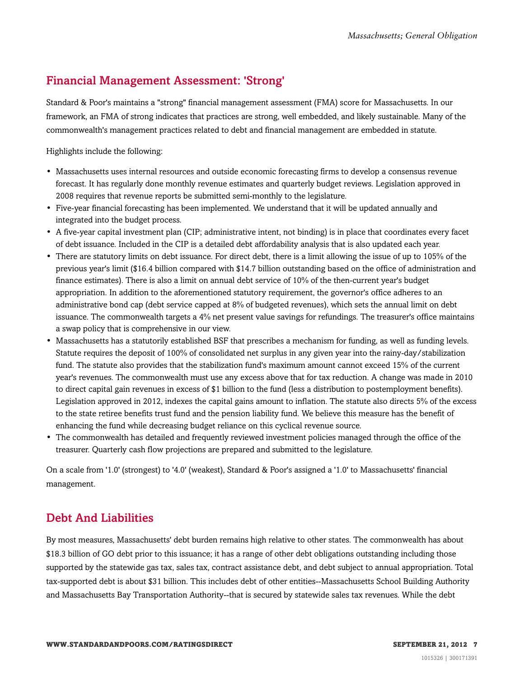#### <span id="page-6-0"></span>Financial Management Assessment: 'Strong'

Standard & Poor's maintains a "strong" financial management assessment (FMA) score for Massachusetts. In our framework, an FMA of strong indicates that practices are strong, well embedded, and likely sustainable. Many of the commonwealth's management practices related to debt and financial management are embedded in statute.

Highlights include the following:

- Massachusetts uses internal resources and outside economic forecasting firms to develop a consensus revenue forecast. It has regularly done monthly revenue estimates and quarterly budget reviews. Legislation approved in 2008 requires that revenue reports be submitted semi-monthly to the legislature.
- Five-year financial forecasting has been implemented. We understand that it will be updated annually and integrated into the budget process.
- A five-year capital investment plan (CIP; administrative intent, not binding) is in place that coordinates every facet of debt issuance. Included in the CIP is a detailed debt affordability analysis that is also updated each year.
- There are statutory limits on debt issuance. For direct debt, there is a limit allowing the issue of up to 105% of the previous year's limit (\$16.4 billion compared with \$14.7 billion outstanding based on the office of administration and finance estimates). There is also a limit on annual debt service of 10% of the then-current year's budget appropriation. In addition to the aforementioned statutory requirement, the governor's office adheres to an administrative bond cap (debt service capped at 8% of budgeted revenues), which sets the annual limit on debt issuance. The commonwealth targets a 4% net present value savings for refundings. The treasurer's office maintains a swap policy that is comprehensive in our view.
- Massachusetts has a statutorily established BSF that prescribes a mechanism for funding, as well as funding levels. Statute requires the deposit of 100% of consolidated net surplus in any given year into the rainy-day/stabilization fund. The statute also provides that the stabilization fund's maximum amount cannot exceed 15% of the current year's revenues. The commonwealth must use any excess above that for tax reduction. A change was made in 2010 to direct capital gain revenues in excess of \$1 billion to the fund (less a distribution to postemployment benefits). Legislation approved in 2012, indexes the capital gains amount to inflation. The statute also directs 5% of the excess to the state retiree benefits trust fund and the pension liability fund. We believe this measure has the benefit of enhancing the fund while decreasing budget reliance on this cyclical revenue source.
- The commonwealth has detailed and frequently reviewed investment policies managed through the office of the treasurer. Quarterly cash flow projections are prepared and submitted to the legislature.

On a scale from '1.0' (strongest) to '4.0' (weakest), Standard & Poor's assigned a '1.0' to Massachusetts' financial management.

#### <span id="page-6-1"></span>Debt And Liabilities

By most measures, Massachusetts' debt burden remains high relative to other states. The commonwealth has about \$18.3 billion of GO debt prior to this issuance; it has a range of other debt obligations outstanding including those supported by the statewide gas tax, sales tax, contract assistance debt, and debt subject to annual appropriation. Total tax-supported debt is about \$31 billion. This includes debt of other entities--Massachusetts School Building Authority and Massachusetts Bay Transportation Authority--that is secured by statewide sales tax revenues. While the debt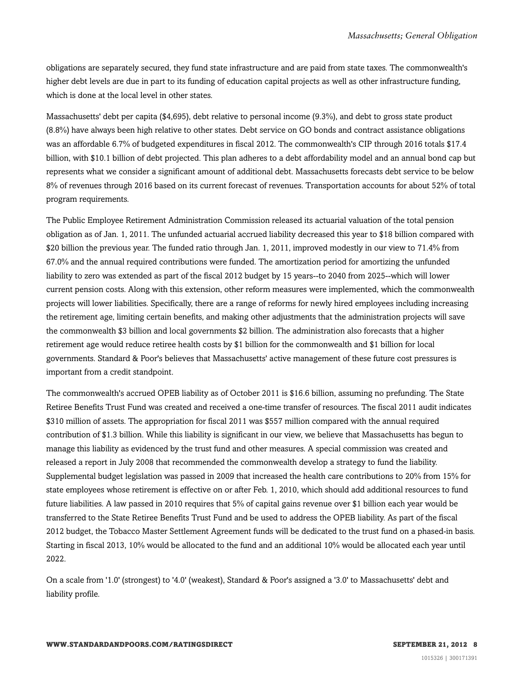obligations are separately secured, they fund state infrastructure and are paid from state taxes. The commonwealth's higher debt levels are due in part to its funding of education capital projects as well as other infrastructure funding, which is done at the local level in other states.

Massachusetts' debt per capita (\$4,695), debt relative to personal income (9.3%), and debt to gross state product (8.8%) have always been high relative to other states. Debt service on GO bonds and contract assistance obligations was an affordable 6.7% of budgeted expenditures in fiscal 2012. The commonwealth's CIP through 2016 totals \$17.4 billion, with \$10.1 billion of debt projected. This plan adheres to a debt affordability model and an annual bond cap but represents what we consider a significant amount of additional debt. Massachusetts forecasts debt service to be below 8% of revenues through 2016 based on its current forecast of revenues. Transportation accounts for about 52% of total program requirements.

The Public Employee Retirement Administration Commission released its actuarial valuation of the total pension obligation as of Jan. 1, 2011. The unfunded actuarial accrued liability decreased this year to \$18 billion compared with \$20 billion the previous year. The funded ratio through Jan. 1, 2011, improved modestly in our view to 71.4% from 67.0% and the annual required contributions were funded. The amortization period for amortizing the unfunded liability to zero was extended as part of the fiscal 2012 budget by 15 years--to 2040 from 2025--which will lower current pension costs. Along with this extension, other reform measures were implemented, which the commonwealth projects will lower liabilities. Specifically, there are a range of reforms for newly hired employees including increasing the retirement age, limiting certain benefits, and making other adjustments that the administration projects will save the commonwealth \$3 billion and local governments \$2 billion. The administration also forecasts that a higher retirement age would reduce retiree health costs by \$1 billion for the commonwealth and \$1 billion for local governments. Standard & Poor's believes that Massachusetts' active management of these future cost pressures is important from a credit standpoint.

The commonwealth's accrued OPEB liability as of October 2011 is \$16.6 billion, assuming no prefunding. The State Retiree Benefits Trust Fund was created and received a one-time transfer of resources. The fiscal 2011 audit indicates \$310 million of assets. The appropriation for fiscal 2011 was \$557 million compared with the annual required contribution of \$1.3 billion. While this liability is significant in our view, we believe that Massachusetts has begun to manage this liability as evidenced by the trust fund and other measures. A special commission was created and released a report in July 2008 that recommended the commonwealth develop a strategy to fund the liability. Supplemental budget legislation was passed in 2009 that increased the health care contributions to 20% from 15% for state employees whose retirement is effective on or after Feb. 1, 2010, which should add additional resources to fund future liabilities. A law passed in 2010 requires that 5% of capital gains revenue over \$1 billion each year would be transferred to the State Retiree Benefits Trust Fund and be used to address the OPEB liability. As part of the fiscal 2012 budget, the Tobacco Master Settlement Agreement funds will be dedicated to the trust fund on a phased-in basis. Starting in fiscal 2013, 10% would be allocated to the fund and an additional 10% would be allocated each year until 2022.

On a scale from '1.0' (strongest) to '4.0' (weakest), Standard & Poor's assigned a '3.0' to Massachusetts' debt and liability profile.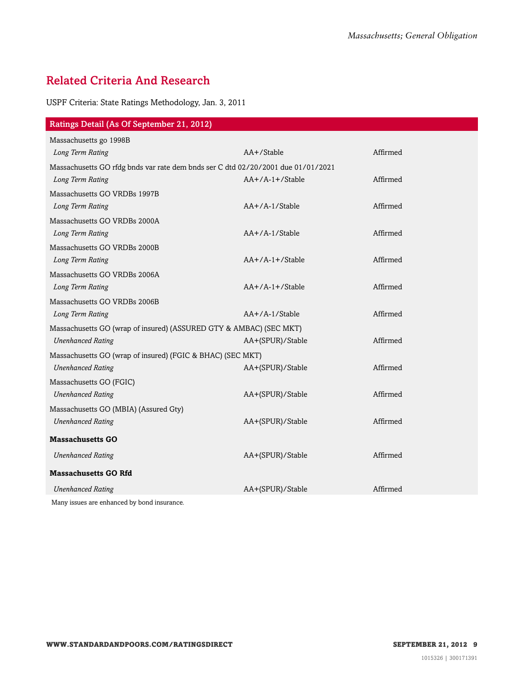#### <span id="page-8-0"></span>Related Criteria And Research

USPF Criteria: State Ratings Methodology, Jan. 3, 2011

| Massachusetts go 1998B<br>AA+/Stable<br>Affirmed<br>Long Term Rating<br>Massachusetts GO rfdg bnds var rate dem bnds ser C dtd 02/20/2001 due 01/01/2021<br>$AA+/A-1+/Stable$<br>Affirmed<br>Long Term Rating<br>Massachusetts GO VRDBs 1997B<br>AA+/A-1/Stable<br>Affirmed<br>Long Term Rating<br>Massachusetts GO VRDBs 2000A<br>AA+/A-1/Stable<br>Affirmed<br>Long Term Rating<br>Massachusetts GO VRDBs 2000B<br>Affirmed<br>$AA+/A-1+/Stable$<br>Long Term Rating<br>Massachusetts GO VRDBs 2006A<br>Long Term Rating<br>$AA+/A-1+/Stable$<br>Affirmed<br>Massachusetts GO VRDBs 2006B<br>$AA+/A-1/Stable$<br>Affirmed<br>Long Term Rating<br>Massachusetts GO (wrap of insured) (ASSURED GTY & AMBAC) (SEC MKT)<br>AA+(SPUR)/Stable<br>Affirmed<br><b>Unenhanced Rating</b> |
|-----------------------------------------------------------------------------------------------------------------------------------------------------------------------------------------------------------------------------------------------------------------------------------------------------------------------------------------------------------------------------------------------------------------------------------------------------------------------------------------------------------------------------------------------------------------------------------------------------------------------------------------------------------------------------------------------------------------------------------------------------------------------------------|
|                                                                                                                                                                                                                                                                                                                                                                                                                                                                                                                                                                                                                                                                                                                                                                                   |
|                                                                                                                                                                                                                                                                                                                                                                                                                                                                                                                                                                                                                                                                                                                                                                                   |
|                                                                                                                                                                                                                                                                                                                                                                                                                                                                                                                                                                                                                                                                                                                                                                                   |
|                                                                                                                                                                                                                                                                                                                                                                                                                                                                                                                                                                                                                                                                                                                                                                                   |
|                                                                                                                                                                                                                                                                                                                                                                                                                                                                                                                                                                                                                                                                                                                                                                                   |
|                                                                                                                                                                                                                                                                                                                                                                                                                                                                                                                                                                                                                                                                                                                                                                                   |
|                                                                                                                                                                                                                                                                                                                                                                                                                                                                                                                                                                                                                                                                                                                                                                                   |
|                                                                                                                                                                                                                                                                                                                                                                                                                                                                                                                                                                                                                                                                                                                                                                                   |
|                                                                                                                                                                                                                                                                                                                                                                                                                                                                                                                                                                                                                                                                                                                                                                                   |
|                                                                                                                                                                                                                                                                                                                                                                                                                                                                                                                                                                                                                                                                                                                                                                                   |
|                                                                                                                                                                                                                                                                                                                                                                                                                                                                                                                                                                                                                                                                                                                                                                                   |
|                                                                                                                                                                                                                                                                                                                                                                                                                                                                                                                                                                                                                                                                                                                                                                                   |
|                                                                                                                                                                                                                                                                                                                                                                                                                                                                                                                                                                                                                                                                                                                                                                                   |
|                                                                                                                                                                                                                                                                                                                                                                                                                                                                                                                                                                                                                                                                                                                                                                                   |
|                                                                                                                                                                                                                                                                                                                                                                                                                                                                                                                                                                                                                                                                                                                                                                                   |
|                                                                                                                                                                                                                                                                                                                                                                                                                                                                                                                                                                                                                                                                                                                                                                                   |
| Massachusetts GO (wrap of insured) (FGIC & BHAC) (SEC MKT)                                                                                                                                                                                                                                                                                                                                                                                                                                                                                                                                                                                                                                                                                                                        |
| <b>Unenhanced Rating</b><br>Affirmed<br>AA+(SPUR)/Stable                                                                                                                                                                                                                                                                                                                                                                                                                                                                                                                                                                                                                                                                                                                          |
| Massachusetts GO (FGIC)                                                                                                                                                                                                                                                                                                                                                                                                                                                                                                                                                                                                                                                                                                                                                           |
| Affirmed<br><b>Unenhanced Rating</b><br>AA+(SPUR)/Stable                                                                                                                                                                                                                                                                                                                                                                                                                                                                                                                                                                                                                                                                                                                          |
| Massachusetts GO (MBIA) (Assured Gty)                                                                                                                                                                                                                                                                                                                                                                                                                                                                                                                                                                                                                                                                                                                                             |
| Affirmed<br><b>Unenhanced Rating</b><br>AA+(SPUR)/Stable                                                                                                                                                                                                                                                                                                                                                                                                                                                                                                                                                                                                                                                                                                                          |
| <b>Massachusetts GO</b>                                                                                                                                                                                                                                                                                                                                                                                                                                                                                                                                                                                                                                                                                                                                                           |
| Affirmed<br><b>Unenhanced Rating</b><br>AA+(SPUR)/Stable                                                                                                                                                                                                                                                                                                                                                                                                                                                                                                                                                                                                                                                                                                                          |
| <b>Massachusetts GO Rfd</b>                                                                                                                                                                                                                                                                                                                                                                                                                                                                                                                                                                                                                                                                                                                                                       |
| Affirmed<br><b>Unenhanced Rating</b><br>AA+(SPUR)/Stable                                                                                                                                                                                                                                                                                                                                                                                                                                                                                                                                                                                                                                                                                                                          |

Many issues are enhanced by bond insurance.